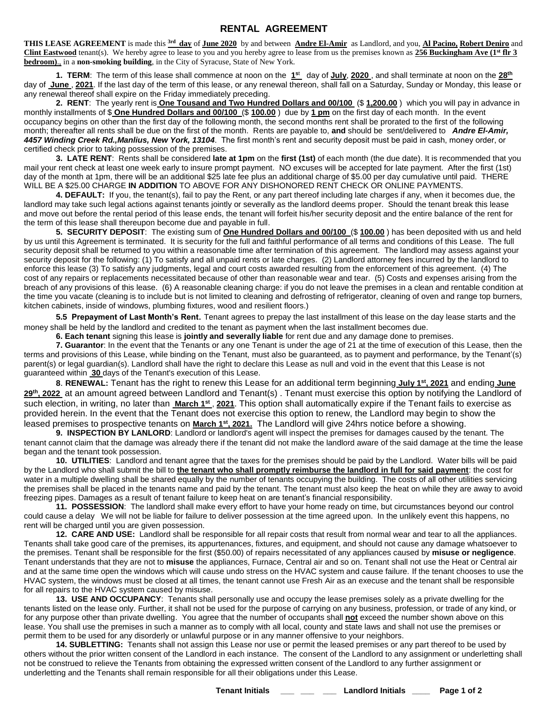## **RENTAL AGREEMENT**

**THIS LEASE AGREEMENT** is made this **3rd day** of **June 2020** by and between **Andre El-Amir** as Landlord, and you, **Al Pacino, Robert Deniro** and **Clint Eastwood** tenant(s). We hereby agree to lease to you and you hereby agree to lease from us the premises known as **256 Buckingham Ave (1 st flr 3 bedroom)**., in a **non-smoking building**, in the City of Syracuse, State of New York.

**1. TERM**: The term of this lease shall commence at noon on the **1 <sup>s</sup>**<sup>t</sup> day of **July**, **2020** , and shall terminate at noon on the **28 th** day of **June** , **2021**. If the last day of the term of this lease, or any renewal thereon, shall fall on a Saturday, Sunday or Monday, this lease or any renewal thereof shall expire on the Friday immediately preceding.

**2. RENT**: The yearly rent is **One Tousand and Two Hundred Dollars and 00/100** (\$ **1,200.00** ) which you will pay in advance in monthly installments of \$ **One Hundred Dollars and 00/100** (\$ **100.00** ) due by **1 pm** on the first day of each month. In the event occupancy begins on other than the first day of the following month, the second months rent shall be prorated to the first of the following month; thereafter all rents shall be due on the first of the month. Rents are payable to, **and** should be sent/delivered to *Andre El-Amir, 4457 Winding Creek Rd.,Manlius, New York, 13104*. The first month's rent and security deposit must be paid in cash, money order, or certified check prior to taking possession of the premises.

**3. LATE RENT**: Rents shall be considered **late at 1pm** on the **first (1st)** of each month (the due date). It is recommended that you mail your rent check at least one week early to insure prompt payment. NO excuses will be accepted for late payment. After the first (1st) day of the month at 1pm, there will be an additional \$25 late fee plus an additional charge of \$5.00 per day cumulative until paid. THERE WILL BE A \$25.00 CHARGE **IN ADDITION** TO ABOVE FOR ANY DISHONORED RENT CHECK OR ONLINE PAYMENTS.

**4. DEFAULT:** If you, the tenant(s), fail to pay the Rent, or any part thereof including late charges if any, when it becomes due, the landlord may take such legal actions against tenants jointly or severally as the landlord deems proper. Should the tenant break this lease and move out before the rental period of this lease ends, the tenant will forfeit his/her security deposit and the entire balance of the rent for the term of this lease shall thereupon become due and payable in full.

**5. SECURITY DEPOSIT**: The existing sum of **One Hundred Dollars and 00/100** (\$ **100.00** ) has been deposited with us and held by us until this Agreement is terminated. It is security for the full and faithful performance of all terms and conditions of this Lease. The full security deposit shall be returned to you within a reasonable time after termination of this agreement. The landlord may assess against your security deposit for the following: (1) To satisfy and all unpaid rents or late charges. (2) Landlord attorney fees incurred by the landlord to enforce this lease (3) To satisfy any judgments, legal and court costs awarded resulting from the enforcement of this agreement. (4) The cost of any repairs or replacements necessitated because of other than reasonable wear and tear. (5) Costs and expenses arising from the breach of any provisions of this lease. (6) A reasonable cleaning charge: if you do not leave the premises in a clean and rentable condition at the time you vacate (cleaning is to include but is not limited to cleaning and defrosting of refrigerator, cleaning of oven and range top burners, kitchen cabinets, inside of windows, plumbing fixtures, wood and resilient floors.)

**5.5 Prepayment of Last Month's Rent**. Tenant agrees to prepay the last installment of this lease on the day lease starts and the money shall be held by the landlord and credited to the tenant as payment when the last installment becomes due.

**6. Each tenant** signing this lease is **jointly and severally liable** for rent due and any damage done to premises.

**7. Guarantor**: In the event that the Tenants or any one Tenant is under the age of 21 at the time of execution of this Lease, then the terms and provisions of this Lease, while binding on the Tenant, must also be guaranteed, as to payment and performance, by the Tenant'(s) parent(s) or legal guardian(s). Landlord shall have the right to declare this Lease as null and void in the event that this Lease is not guaranteed within **30** days of the Tenant's execution of this Lease.

**8**. **RENEWAL:** Tenant has the right to renew this Lease for an additional term beginning **July 1 st , 2021** and ending **June 29th , 2022** at an amount agreed between Landlord and Tenant(s) . Tenant must exercise this option by notifying the Landlord of such election, in writing, no later than <u>March 1st , 2021</u>. This option shall automatically expire if the Tenant fails to exercise as provided herein. In the event that the Tenant does not exercise this option to renew, the Landlord may begin to show the leased premises to prospective tenants on **March 1<sup>st</sup>, 2021.** The Landlord will give 24hrs notice before a showing.

9. INSPECTION BY LANLORD: Landlord or landlord's agent will inspect the premises for damages caused by the tenant. The tenant cannot claim that the damage was already there if the tenant did not make the landlord aware of the said damage at the time the lease began and the tenant took possession.

**10. UTILITIES**: Landlord and tenant agree that the taxes for the premises should be paid by the Landlord. Water bills will be paid by the Landlord who shall submit the bill to **the tenant who shall promptly reimburse the landlord in full for said payment**: the cost for water in a multiple dwelling shall be shared equally by the number of tenants occupying the building. The costs of all other utilities servicing the premises shall be placed in the tenants name and paid by the tenant. The tenant must also keep the heat on while they are away to avoid freezing pipes. Damages as a result of tenant failure to keep heat on are tenant's financial responsibility.

**11. POSSESSION**: The landlord shall make every effort to have your home ready on time, but circumstances beyond our control could cause a delay We will not be liable for failure to deliver possession at the time agreed upon. In the unlikely event this happens, no rent will be charged until you are given possession.

**12. CARE AND USE:** Landlord shall be responsible for all repair costs that result from normal wear and tear to all the appliances. Tenants shall take good care of the premises, its appurtenances, fixtures, and equipment, and should not cause any damage whatsoever to the premises. Tenant shall be responsible for the first (\$50.00) of repairs necessitated of any appliances caused by **misuse or negligence**. Tenant understands that they are not to **misuse** the appliances, Furnace, Central air and so on. Tenant shall not use the Heat or Central air and at the same time open the windows which will cause undo stress on the HVAC system and cause failure. If the tenant chooses to use the HVAC system, the windows must be closed at all times, the tenant cannot use Fresh Air as an execuse and the tenant shall be responsible for all repairs to the HVAC system caused by misuse.

**13. USE AND OCCUPANCY**: Tenants shall personally use and occupy the lease premises solely as a private dwelling for the tenants listed on the lease only. Further, it shall not be used for the purpose of carrying on any business, profession, or trade of any kind, or for any purpose other than private dwelling. You agree that the number of occupants shall **not** exceed the number shown above on this lease. You shall use the premises in such a manner as to comply with all local, county and state laws and shall not use the premises or permit them to be used for any disorderly or unlawful purpose or in any manner offensive to your neighbors.

**14. SUBLETTING:** Tenants shall not assign this Lease nor use or permit the leased premises or any part thereof to be used by others without the prior written consent of the Landlord in each instance. The consent of the Landlord to any assignment or underletting shall not be construed to relieve the Tenants from obtaining the expressed written consent of the Landlord to any further assignment or underletting and the Tenants shall remain responsible for all their obligations under this Lease.

**Tenant Initials \_\_\_ \_\_\_ \_\_\_ Landlord Initials \_\_\_\_ Page 1 of 2**